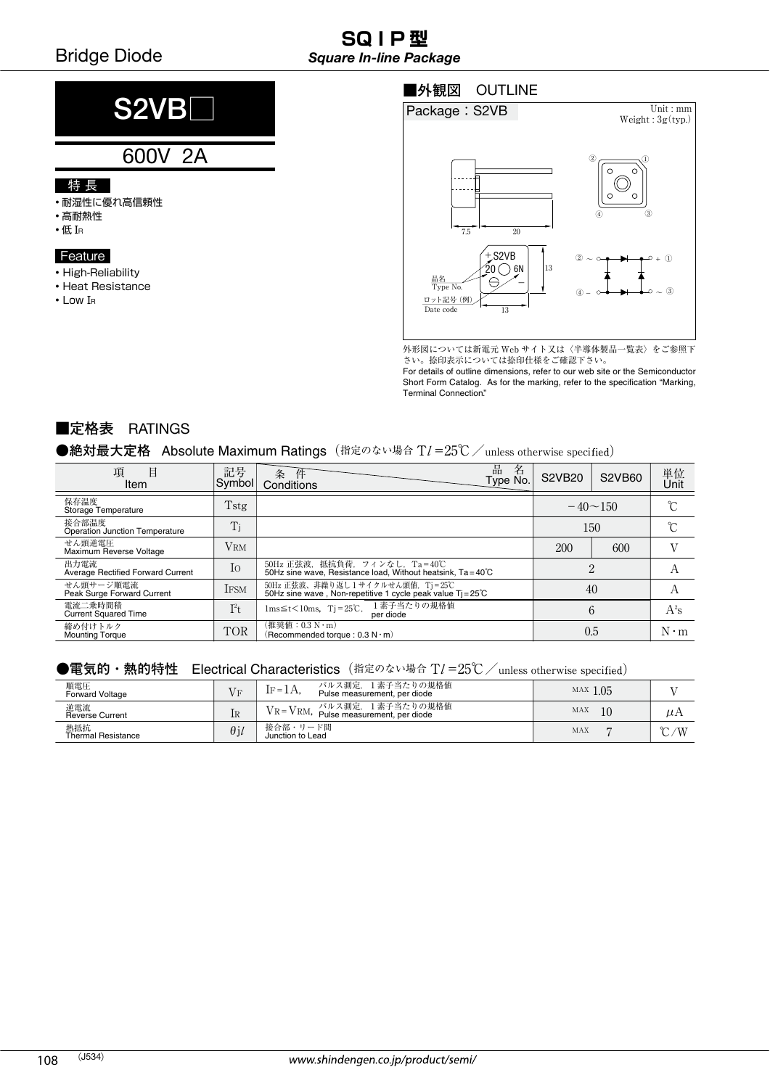#### **SQ I P 型** *Square In-line Package*

# **S2VB**□

### 600V 2A

#### 特 長

- 耐湿性に優れ高信頼性
- 高耐熱性
- 低 I<sup>R</sup>

#### Feature

- High-Reliability
- Heat Resistance
- Low I<sup>R</sup>

#### ■外観図 OUTLINE



外形図については新電元 Web サイト又は〈半導体製品一覧表〉をご参照下<br>さい。捺印表示については捺印仕様をご確認下さい。 さい。捺印表示については捺印仕様をご確認下さい。

For details of outline dimensions, refer to our web site or the Semiconductor Short Form Catalog. As for the marking, refer to the specification "Marking, Terminal Connection."

#### **■定格表** RATINGS

#### ●絶対最大定格 Absolute Maximum Ratings(指定のない場合 TI=25℃/unless otherwise specified)

| 項<br>Ħ<br>Item                            | 記号<br>Symbol | 品<br>名<br>条<br>件<br>Type No.<br>Conditions                                                             | <b>S2VB20</b>  | <b>S2VB60</b> | 単位<br>Unit  |
|-------------------------------------------|--------------|--------------------------------------------------------------------------------------------------------|----------------|---------------|-------------|
| 保存温度<br>Storage Temperature               | Tstg         |                                                                                                        | $-40 \sim 150$ |               | °∩          |
| 接合部温度<br>Operation Junction Temperature   | Ti           |                                                                                                        | 150            |               | ∽           |
| せん頭逆電圧<br>Maximum Reverse Voltage         | <b>VRM</b>   |                                                                                                        | 200            | 600           |             |
| 出力電流<br>Average Rectified Forward Current | Io           | 50Hz 正弦波, 抵抗負荷, フィンなし, Ta=40℃<br>50Hz sine wave. Resistance load. Without heatsink. $Ta = 40^{\circ}C$ | $\Omega$<br>∠  |               | A           |
| せん頭サージ順電流<br>Peak Surge Forward Current   | <b>IFSM</b>  | 50Hz 正弦波、非繰り返し 1 サイクルせん頭値,Tj = 25℃<br>50Hz sine wave , Non-repetitive 1 cycle peak value Tj = 25℃      | 40             |               | А           |
| 電流二乗時間積<br><b>Current Squared Time</b>    | $I^2t$       | 1素子当たりの規格値<br>$1ms \leq t < 10ms$ , $Tj = 25°C$ ,<br>per diode                                         | 6              |               | $A^2s$      |
| 締め付けトルク<br><b>Mounting Torque</b>         | <b>TOR</b>   | (推奨値:0.3 N · m)<br>(Recommended torque: 0.3 N·m)                                                       | 0.5            |               | $N \cdot m$ |

#### ●電気的・熱的特性 Electrical Characteristics(指定のない場合 TI=25℃/unless otherwise specified)

| 順電圧<br><b>Forward Voltage</b>    | $V_F$       | パルス測定, 1素子当たりの規格値<br>$IF = 1A$ .<br>Pulse measurement, per diode | MAX $1.05$ |              |
|----------------------------------|-------------|------------------------------------------------------------------|------------|--------------|
| 逆電流<br><b>Reverse Current</b>    | 1R          | VR=VRM, パルス測定, 1素子当たりの規格値<br>Pulse measurement, per diode        | MAX<br>10  | $\mu$ A      |
| 熱抵抗<br><b>Thermal Resistance</b> | $\theta$ il | 接合部・リード間<br>Junction to Lead                                     | MAX        | $\sim$<br>/W |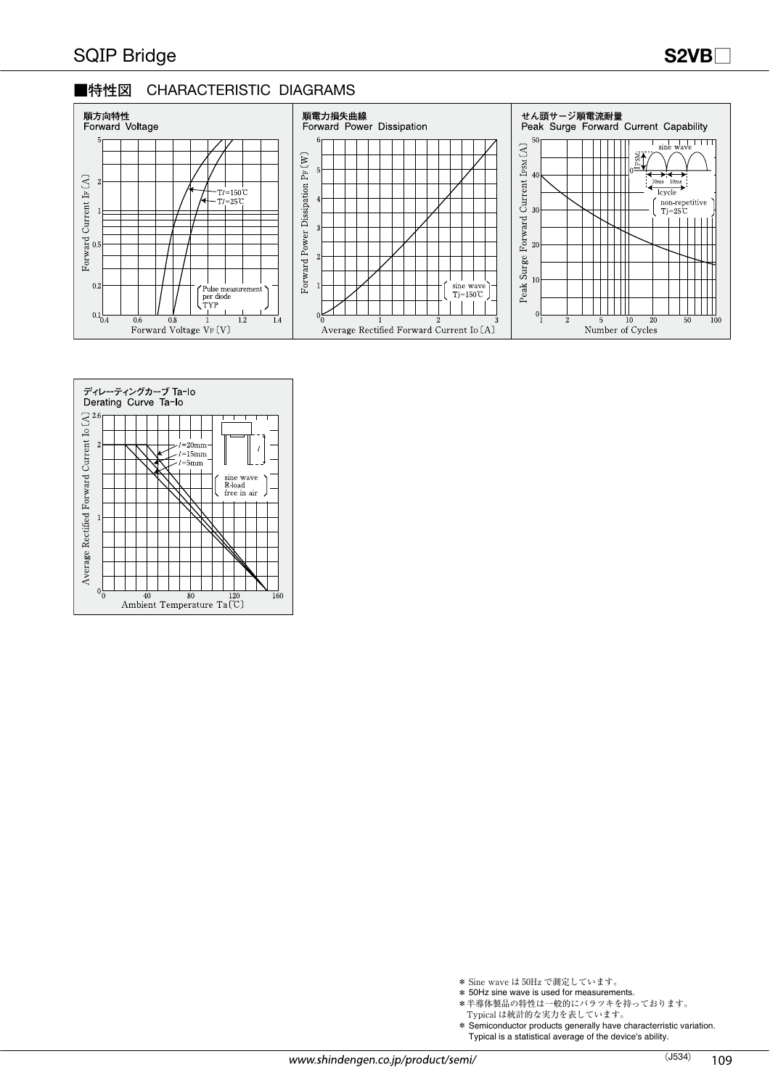#### ■特性図 **CHARACTERISTIC DIAGRAMS**





- \* Sine wave は 50Hz で測定しています。
- \* 50Hz sine wave is used for measurements.
- \*半導体製品の特性は一般的にバラツキを持っております。
- Typical は統計的な実力を表しています。
- \* Semiconductor products generally have characterristic variation.
	- Typical is a statistical average of the device's ability.